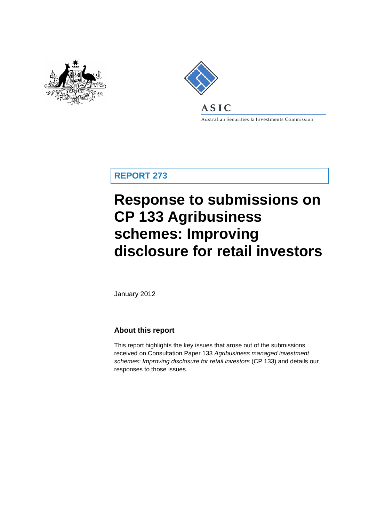



Australian Securities & Investments Commission

**REPORT 273**

# **Response to submissions on CP 133 Agribusiness schemes: Improving disclosure for retail investors**

January 2012

### **About this report**

This report highlights the key issues that arose out of the submissions received on Consultation Paper 133 *Agribusiness managed investment schemes: Improving disclosure for retail investors* (CP 133) and details our responses to those issues.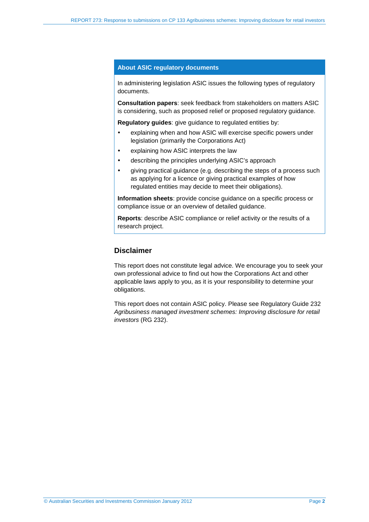### **About ASIC regulatory documents**

In administering legislation ASIC issues the following types of regulatory documents.

**Consultation papers**: seek feedback from stakeholders on matters ASIC is considering, such as proposed relief or proposed regulatory guidance.

**Regulatory guides**: give guidance to regulated entities by:

- explaining when and how ASIC will exercise specific powers under legislation (primarily the Corporations Act)
- explaining how ASIC interprets the law
- describing the principles underlying ASIC's approach
- giving practical guidance (e.g. describing the steps of a process such as applying for a licence or giving practical examples of how regulated entities may decide to meet their obligations).

**Information sheets**: provide concise guidance on a specific process or compliance issue or an overview of detailed guidance.

**Reports**: describe ASIC compliance or relief activity or the results of a research project.

### **Disclaimer**

This report does not constitute legal advice. We encourage you to seek your own professional advice to find out how the Corporations Act and other applicable laws apply to you, as it is your responsibility to determine your obligations.

This report does not contain ASIC policy. Please see Regulatory Guide 232 *Agribusiness managed investment schemes: Improving disclosure for retail investors* (RG 232).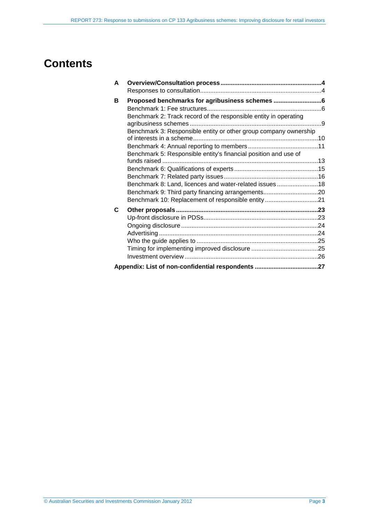## **Contents**

| A |                                                                  |  |
|---|------------------------------------------------------------------|--|
|   |                                                                  |  |
| В | Proposed benchmarks for agribusiness schemes 6                   |  |
|   |                                                                  |  |
|   | Benchmark 2: Track record of the responsible entity in operating |  |
|   | Benchmark 3: Responsible entity or other group company ownership |  |
|   |                                                                  |  |
|   | Benchmark 5: Responsible entity's financial position and use of  |  |
|   |                                                                  |  |
|   |                                                                  |  |
|   |                                                                  |  |
|   | Benchmark 8: Land, licences and water-related issues18           |  |
|   | Benchmark 9: Third party financing arrangements20                |  |
|   | Benchmark 10: Replacement of responsible entity21                |  |
| C |                                                                  |  |
|   |                                                                  |  |
|   |                                                                  |  |
|   |                                                                  |  |
|   |                                                                  |  |
|   |                                                                  |  |
|   |                                                                  |  |
|   |                                                                  |  |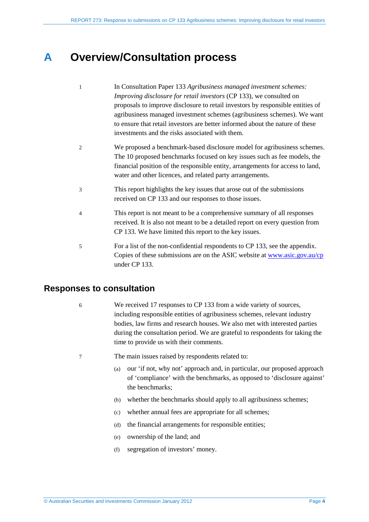## <span id="page-3-0"></span>**A Overview/Consultation process**

- 1 In Consultation Paper 133 *Agribusiness managed investment schemes: Improving disclosure for retail investors* (CP 133), we consulted on proposals to improve disclosure to retail investors by responsible entities of agribusiness managed investment schemes (agribusiness schemes). We want to ensure that retail investors are better informed about the nature of these investments and the risks associated with them.
- 2 We proposed a benchmark-based disclosure model for agribusiness schemes. The 10 proposed benchmarks focused on key issues such as fee models, the financial position of the responsible entity, arrangements for access to land, water and other licences, and related party arrangements.
- 3 This report highlights the key issues that arose out of the submissions received on CP 133 and our responses to those issues.
- 4 This report is not meant to be a comprehensive summary of all responses received. It is also not meant to be a detailed report on every question from CP 133. We have limited this report to the key issues.
- 5 For a list of the non-confidential respondents to CP 133, see the appendix. Copies of these submissions are on the ASIC website at [www.asic.gov.au/cp](http://www.asic.gov.au/cp) under CP 133.

### <span id="page-3-1"></span>**Responses to consultation**

- 6 We received 17 responses to CP 133 from a wide variety of sources, including responsible entities of agribusiness schemes, relevant industry bodies, law firms and research houses. We also met with interested parties during the consultation period. We are grateful to respondents for taking the time to provide us with their comments.
- 7 The main issues raised by respondents related to:
	- (a) our 'if not, why not' approach and, in particular, our proposed approach of 'compliance' with the benchmarks, as opposed to 'disclosure against' the benchmarks;
	- (b) whether the benchmarks should apply to all agribusiness schemes;
	- (c) whether annual fees are appropriate for all schemes;
	- (d) the financial arrangements for responsible entities;
	- (e) ownership of the land; and
	- (f) segregation of investors' money.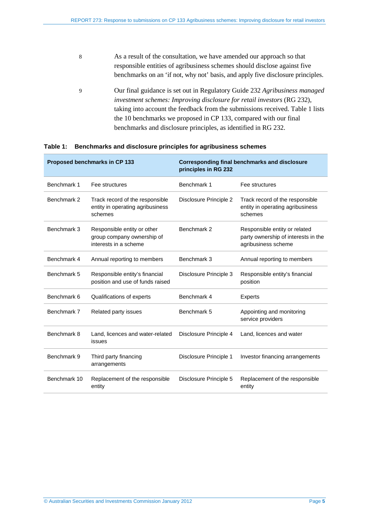- 8 As a result of the consultation, we have amended our approach so that responsible entities of agribusiness schemes should disclose against five benchmarks on an 'if not, why not' basis, and apply five disclosure principles.
- 9 Our final guidance is set out in Regulatory Guide 232 *Agribusiness managed investment schemes: Improving disclosure for retail investors* (RG 232), taking into account the feedback from the submissions received. [Table 1](#page-4-0) lists the 10 benchmarks we proposed in CP 133, compared with our final benchmarks and disclosure principles, as identified in RG 232.

|              | Proposed benchmarks in CP 133                                                      | <b>Corresponding final benchmarks and disclosure</b><br>principles in RG 232 |                                                                                             |
|--------------|------------------------------------------------------------------------------------|------------------------------------------------------------------------------|---------------------------------------------------------------------------------------------|
| Benchmark 1  | Fee structures                                                                     | Benchmark 1                                                                  | Fee structures                                                                              |
| Benchmark 2  | Track record of the responsible<br>entity in operating agribusiness<br>schemes     | Disclosure Principle 2                                                       | Track record of the responsible<br>entity in operating agribusiness<br>schemes              |
| Benchmark 3  | Responsible entity or other<br>group company ownership of<br>interests in a scheme | Benchmark 2                                                                  | Responsible entity or related<br>party ownership of interests in the<br>agribusiness scheme |
| Benchmark 4  | Annual reporting to members                                                        | Benchmark 3                                                                  | Annual reporting to members                                                                 |
| Benchmark 5  | Responsible entity's financial<br>position and use of funds raised                 | Disclosure Principle 3                                                       | Responsible entity's financial<br>position                                                  |
| Benchmark 6  | Qualifications of experts                                                          | Benchmark 4                                                                  | <b>Experts</b>                                                                              |
| Benchmark 7  | Related party issues                                                               | Benchmark 5                                                                  | Appointing and monitoring<br>service providers                                              |
| Benchmark 8  | Land, licences and water-related<br>issues                                         | Disclosure Principle 4                                                       | Land, licences and water                                                                    |
| Benchmark 9  | Third party financing<br>arrangements                                              | Disclosure Principle 1                                                       | Investor financing arrangements                                                             |
| Benchmark 10 | Replacement of the responsible<br>entity                                           | Disclosure Principle 5                                                       | Replacement of the responsible<br>entity                                                    |

#### <span id="page-4-0"></span>**Table 1: Benchmarks and disclosure principles for agribusiness schemes**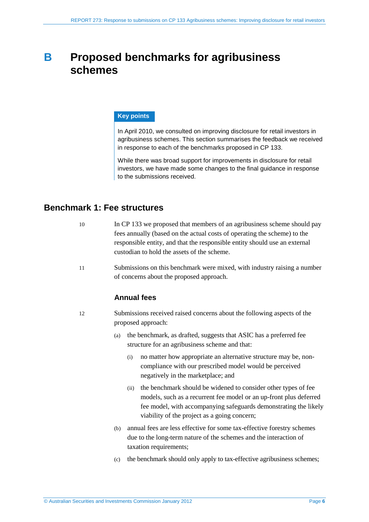## <span id="page-5-0"></span>**B Proposed benchmarks for agribusiness schemes**

### **Key points**

In April 2010, we consulted on improving disclosure for retail investors in agribusiness schemes. This section summarises the feedback we received in response to each of the benchmarks proposed in CP 133.

While there was broad support for improvements in disclosure for retail investors, we have made some changes to the final guidance in response to the submissions received.

### <span id="page-5-1"></span>**Benchmark 1: Fee structures**

- 10 In CP 133 we proposed that members of an agribusiness scheme should pay fees annually (based on the actual costs of operating the scheme) to the responsible entity, and that the responsible entity should use an external custodian to hold the assets of the scheme.
- 11 Submissions on this benchmark were mixed, with industry raising a number of concerns about the proposed approach.

### **Annual fees**

- 12 Submissions received raised concerns about the following aspects of the proposed approach:
	- (a) the benchmark, as drafted, suggests that ASIC has a preferred fee structure for an agribusiness scheme and that:
		- (i) no matter how appropriate an alternative structure may be, noncompliance with our prescribed model would be perceived negatively in the marketplace; and
		- (ii) the benchmark should be widened to consider other types of fee models, such as a recurrent fee model or an up-front plus deferred fee model, with accompanying safeguards demonstrating the likely viability of the project as a going concern;
	- (b) annual fees are less effective for some tax-effective forestry schemes due to the long-term nature of the schemes and the interaction of taxation requirements;
	- (c) the benchmark should only apply to tax-effective agribusiness schemes;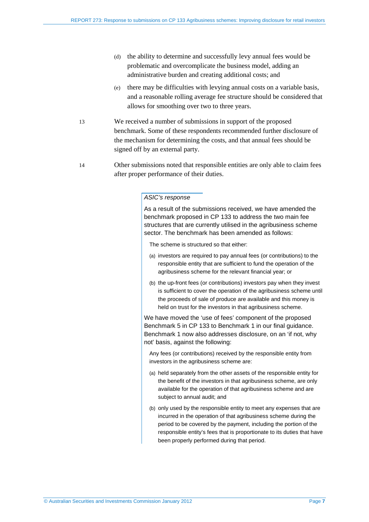- (d) the ability to determine and successfully levy annual fees would be problematic and overcomplicate the business model, adding an administrative burden and creating additional costs; and
- (e) there may be difficulties with levying annual costs on a variable basis, and a reasonable rolling average fee structure should be considered that allows for smoothing over two to three years.
- 13 We received a number of submissions in support of the proposed benchmark. Some of these respondents recommended further disclosure of the mechanism for determining the costs, and that annual fees should be signed off by an external party.
- <span id="page-6-0"></span>14 Other submissions noted that responsible entities are only able to claim fees after proper performance of their duties.

As a result of the submissions received, we have amended the benchmark proposed in CP 133 to address the two main fee structures that are currently utilised in the agribusiness scheme sector. The benchmark has been amended as follows:

The scheme is structured so that either:

- (a) investors are required to pay annual fees (or contributions) to the responsible entity that are sufficient to fund the operation of the agribusiness scheme for the relevant financial year; or
- (b) the up-front fees (or contributions) investors pay when they invest is sufficient to cover the operation of the agribusiness scheme until the proceeds of sale of produce are available and this money is held on trust for the investors in that agribusiness scheme.

We have moved the 'use of fees' component of the proposed Benchmark 5 in CP 133 to Benchmark 1 in our final guidance. Benchmark 1 now also addresses disclosure, on an 'if not, why not' basis, against the following:

Any fees (or contributions) received by the responsible entity from investors in the agribusiness scheme are:

- (a) held separately from the other assets of the responsible entity for the benefit of the investors in that agribusiness scheme, are only available for the operation of that agribusiness scheme and are subject to annual audit; and
- (b) only used by the responsible entity to meet any expenses that are incurred in the operation of that agribusiness scheme during the period to be covered by the payment, including the portion of the responsible entity's fees that is proportionate to its duties that have been properly performed during that period.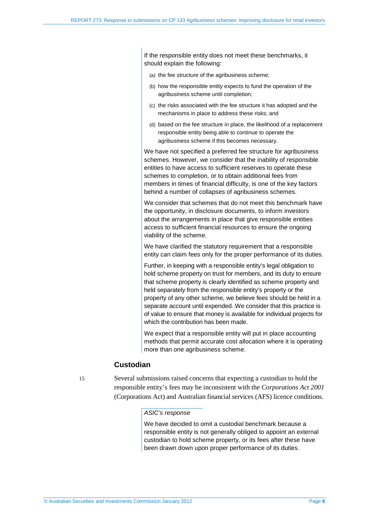If the responsible entity does not meet these benchmarks, it should explain the following:

- (a) the fee structure of the agribusiness scheme;
- (b) how the responsible entity expects to fund the operation of the agribusiness scheme until completion;
- (c) the risks associated with the fee structure it has adopted and the mechanisms in place to address these risks; and
- (d) based on the fee structure in place, the likelihood of a replacement responsible entity being able to continue to operate the agribusiness scheme if this becomes necessary.

We have not specified a preferred fee structure for agribusiness schemes. However, we consider that the inability of responsible entities to have access to sufficient reserves to operate these schemes to completion, or to obtain additional fees from members in times of financial difficulty, is one of the key factors behind a number of collapses of agribusiness schemes.

We consider that schemes that do not meet this benchmark have the opportunity, in disclosure documents, to inform investors about the arrangements in place that give responsible entities access to sufficient financial resources to ensure the ongoing viability of the scheme.

We have clarified the statutory requirement that a responsible entity can claim fees only for the proper performance of its duties.

Further, in keeping with a responsible entity's legal obligation to hold scheme property on trust for members, and its duty to ensure that scheme property is clearly identified as scheme property and held separately from the responsible entity's property or the property of any other scheme, we believe fees should be held in a separate account until expended. We consider that this practice is of value to ensure that money is available for individual projects for which the contribution has been made.

We expect that a responsible entity will put in place accounting methods that permit accurate cost allocation where it is operating more than one agribusiness scheme.

### **Custodian**

15 Several submissions raised concerns that expecting a custodian to hold the responsible entity's fees may be inconsistent with the *Corporations Act 2001* (Corporations Act) and Australian financial services (AFS) licence conditions.

#### *ASIC's response*

We have decided to omit a custodial benchmark because a responsible entity is not generally obliged to appoint an external custodian to hold scheme property, or its fees after these have been drawn down upon proper performance of its duties.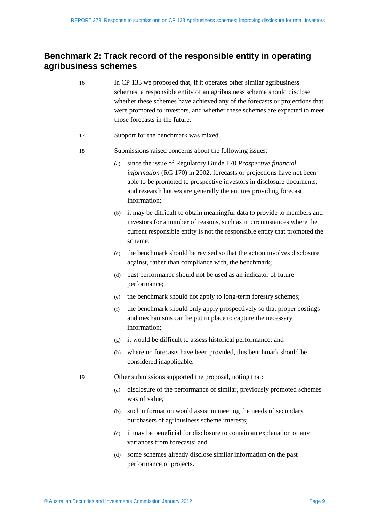### <span id="page-8-0"></span>**Benchmark 2: Track record of the responsible entity in operating agribusiness schemes**

- 16 In CP 133 we proposed that, if it operates other similar agribusiness schemes, a responsible entity of an agribusiness scheme should disclose whether these schemes have achieved any of the forecasts or projections that were promoted to investors, and whether these schemes are expected to meet those forecasts in the future.
- 17 Support for the benchmark was mixed.
- 18 Submissions raised concerns about the following issues:
	- (a) since the issue of Regulatory Guide 170 *Prospective financial information* (RG 170) in 2002, forecasts or projections have not been able to be promoted to prospective investors in disclosure documents, and research houses are generally the entities providing forecast information;
	- (b) it may be difficult to obtain meaningful data to provide to members and investors for a number of reasons, such as in circumstances where the current responsible entity is not the responsible entity that promoted the scheme;
	- (c) the benchmark should be revised so that the action involves disclosure against, rather than compliance with, the benchmark;
	- (d) past performance should not be used as an indicator of future performance;
	- (e) the benchmark should not apply to long-term forestry schemes;
	- (f) the benchmark should only apply prospectively so that proper costings and mechanisms can be put in place to capture the necessary information;
	- (g) it would be difficult to assess historical performance; and
	- (h) where no forecasts have been provided, this benchmark should be considered inapplicable.
- 19 Other submissions supported the proposal, noting that:
	- (a) disclosure of the performance of similar, previously promoted schemes was of value;
	- (b) such information would assist in meeting the needs of secondary purchasers of agribusiness scheme interests;
	- (c) it may be beneficial for disclosure to contain an explanation of any variances from forecasts; and
	- (d) some schemes already disclose similar information on the past performance of projects.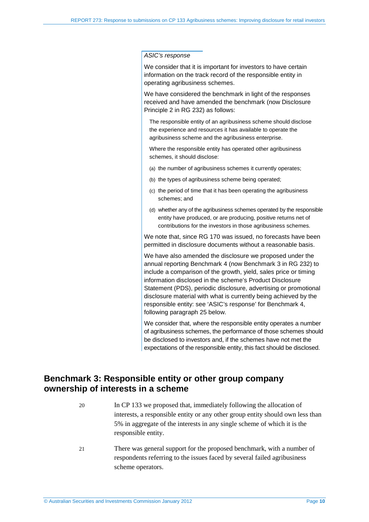We consider that it is important for investors to have certain information on the track record of the responsible entity in operating agribusiness schemes.

We have considered the benchmark in light of the responses received and have amended the benchmark (now Disclosure Principle 2 in RG 232) as follows:

The responsible entity of an agribusiness scheme should disclose the experience and resources it has available to operate the agribusiness scheme and the agribusiness enterprise.

Where the responsible entity has operated other agribusiness schemes, it should disclose:

- (a) the number of agribusiness schemes it currently operates;
- (b) the types of agribusiness scheme being operated;
- (c) the period of time that it has been operating the agribusiness schemes; and
- (d) whether any of the agribusiness schemes operated by the responsible entity have produced, or are producing, positive returns net of contributions for the investors in those agribusiness schemes.

We note that, since RG 170 was issued, no forecasts have been permitted in disclosure documents without a reasonable basis.

We have also amended the disclosure we proposed under the annual reporting Benchmark 4 (now Benchmark 3 in RG 232) to include a comparison of the growth, yield, sales price or timing information disclosed in the scheme's Product Disclosure Statement (PDS), periodic disclosure, advertising or promotional disclosure material with what is currently being achieved by the responsible entity: see 'ASIC's response' for Benchmark 4, following paragraph [25](#page-10-1) below.

We consider that, where the responsible entity operates a number of agribusiness schemes, the performance of those schemes should be disclosed to investors and, if the schemes have not met the expectations of the responsible entity, this fact should be disclosed.

### <span id="page-9-0"></span>**Benchmark 3: Responsible entity or other group company ownership of interests in a scheme**

- 20 In CP 133 we proposed that, immediately following the allocation of interests, a responsible entity or any other group entity should own less than 5% in aggregate of the interests in any single scheme of which it is the responsible entity.
- 21 There was general support for the proposed benchmark, with a number of respondents referring to the issues faced by several failed agribusiness scheme operators.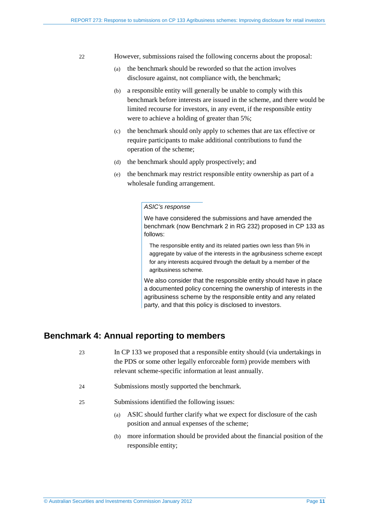- 22 However, submissions raised the following concerns about the proposal:
	- (a) the benchmark should be reworded so that the action involves disclosure against, not compliance with, the benchmark;
	- (b) a responsible entity will generally be unable to comply with this benchmark before interests are issued in the scheme, and there would be limited recourse for investors, in any event, if the responsible entity were to achieve a holding of greater than 5%;
	- (c) the benchmark should only apply to schemes that are tax effective or require participants to make additional contributions to fund the operation of the scheme;
	- (d) the benchmark should apply prospectively; and
	- (e) the benchmark may restrict responsible entity ownership as part of a wholesale funding arrangement.

We have considered the submissions and have amended the benchmark (now Benchmark 2 in RG 232) proposed in CP 133 as follows:

The responsible entity and its related parties own less than 5% in aggregate by value of the interests in the agribusiness scheme except for any interests acquired through the default by a member of the agribusiness scheme.

We also consider that the responsible entity should have in place a documented policy concerning the ownership of interests in the agribusiness scheme by the responsible entity and any related party, and that this policy is disclosed to investors.

### <span id="page-10-0"></span>**Benchmark 4: Annual reporting to members**

- 23 In CP 133 we proposed that a responsible entity should (via undertakings in the PDS or some other legally enforceable form) provide members with relevant scheme-specific information at least annually.
- <span id="page-10-1"></span>24 Submissions mostly supported the benchmark.
- 25 Submissions identified the following issues:
	- (a) ASIC should further clarify what we expect for disclosure of the cash position and annual expenses of the scheme;
	- (b) more information should be provided about the financial position of the responsible entity;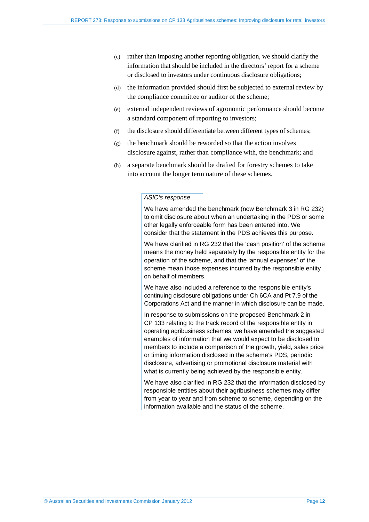- (c) rather than imposing another reporting obligation, we should clarify the information that should be included in the directors' report for a scheme or disclosed to investors under continuous disclosure obligations;
- (d) the information provided should first be subjected to external review by the compliance committee or auditor of the scheme;
- (e) external independent reviews of agronomic performance should become a standard component of reporting to investors;
- (f) the disclosure should differentiate between different types of schemes;
- (g) the benchmark should be reworded so that the action involves disclosure against, rather than compliance with, the benchmark; and
- (h) a separate benchmark should be drafted for forestry schemes to take into account the longer term nature of these schemes.

We have amended the benchmark (now Benchmark 3 in RG 232) to omit disclosure about when an undertaking in the PDS or some other legally enforceable form has been entered into. We consider that the statement in the PDS achieves this purpose.

We have clarified in RG 232 that the 'cash position' of the scheme means the money held separately by the responsible entity for the operation of the scheme, and that the 'annual expenses' of the scheme mean those expenses incurred by the responsible entity on behalf of members.

We have also included a reference to the responsible entity's continuing disclosure obligations under Ch 6CA and Pt 7.9 of the Corporations Act and the manner in which disclosure can be made.

In response to submissions on the proposed Benchmark 2 in CP 133 relating to the track record of the responsible entity in operating agribusiness schemes, we have amended the suggested examples of information that we would expect to be disclosed to members to include a comparison of the growth, yield, sales price or timing information disclosed in the scheme's PDS, periodic disclosure, advertising or promotional disclosure material with what is currently being achieved by the responsible entity.

We have also clarified in RG 232 that the information disclosed by responsible entities about their agribusiness schemes may differ from year to year and from scheme to scheme, depending on the information available and the status of the scheme.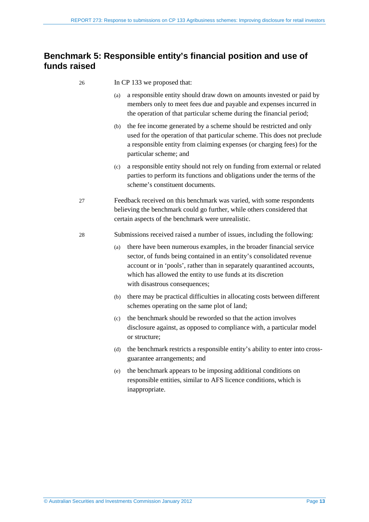### <span id="page-12-0"></span>**Benchmark 5: Responsible entity's financial position and use of funds raised**

- 26 In CP 133 we proposed that:
	- (a) a responsible entity should draw down on amounts invested or paid by members only to meet fees due and payable and expenses incurred in the operation of that particular scheme during the financial period;
	- (b) the fee income generated by a scheme should be restricted and only used for the operation of that particular scheme. This does not preclude a responsible entity from claiming expenses (or charging fees) for the particular scheme; and
	- (c) a responsible entity should not rely on funding from external or related parties to perform its functions and obligations under the terms of the scheme's constituent documents.
- 27 Feedback received on this benchmark was varied, with some respondents believing the benchmark could go further, while others considered that certain aspects of the benchmark were unrealistic.
- 28 Submissions received raised a number of issues, including the following:
	- (a) there have been numerous examples, in the broader financial service sector, of funds being contained in an entity's consolidated revenue account or in 'pools', rather than in separately quarantined accounts, which has allowed the entity to use funds at its discretion with disastrous consequences;
	- (b) there may be practical difficulties in allocating costs between different schemes operating on the same plot of land;
	- (c) the benchmark should be reworded so that the action involves disclosure against, as opposed to compliance with, a particular model or structure;
	- (d) the benchmark restricts a responsible entity's ability to enter into crossguarantee arrangements; and
	- (e) the benchmark appears to be imposing additional conditions on responsible entities, similar to AFS licence conditions, which is inappropriate.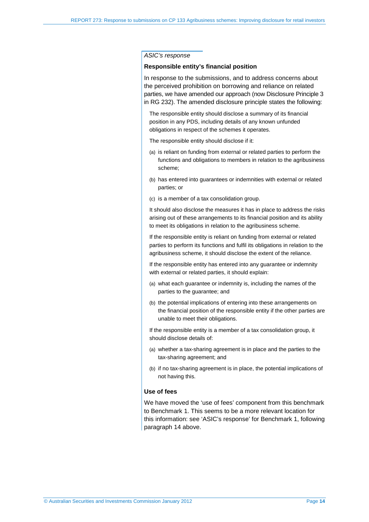#### **Responsible entity's financial position**

In response to the submissions, and to address concerns about the perceived prohibition on borrowing and reliance on related parties, we have amended our approach (now Disclosure Principle 3 in RG 232). The amended disclosure principle states the following:

The responsible entity should disclose a summary of its financial position in any PDS, including details of any known unfunded obligations in respect of the schemes it operates.

The responsible entity should disclose if it:

- (a) is reliant on funding from external or related parties to perform the functions and obligations to members in relation to the agribusiness scheme;
- (b) has entered into guarantees or indemnities with external or related parties; or
- (c) is a member of a tax consolidation group.

It should also disclose the measures it has in place to address the risks arising out of these arrangements to its financial position and its ability to meet its obligations in relation to the agribusiness scheme.

If the responsible entity is reliant on funding from external or related parties to perform its functions and fulfil its obligations in relation to the agribusiness scheme, it should disclose the extent of the reliance.

If the responsible entity has entered into any guarantee or indemnity with external or related parties, it should explain:

- (a) what each guarantee or indemnity is, including the names of the parties to the guarantee; and
- (b) the potential implications of entering into these arrangements on the financial position of the responsible entity if the other parties are unable to meet their obligations.

If the responsible entity is a member of a tax consolidation group, it should disclose details of:

- (a) whether a tax-sharing agreement is in place and the parties to the tax-sharing agreement; and
- (b) if no tax-sharing agreement is in place, the potential implications of not having this.

#### **Use of fees**

We have moved the 'use of fees' component from this benchmark to Benchmark 1. This seems to be a more relevant location for this information: see 'ASIC's response' for Benchmark 1, following paragraph [14](#page-6-0) above.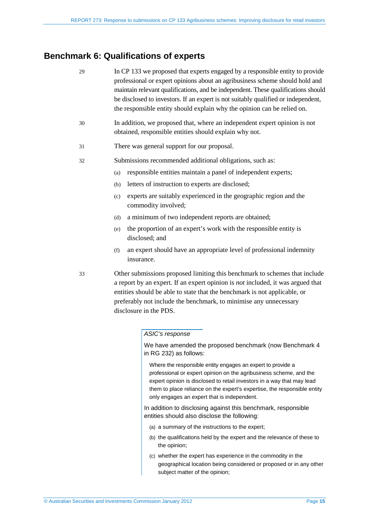### <span id="page-14-0"></span>**Benchmark 6: Qualifications of experts**

| 29 | In CP 133 we proposed that experts engaged by a responsible entity to provide<br>professional or expert opinions about an agribusiness scheme should hold and<br>maintain relevant qualifications, and be independent. These qualifications should<br>be disclosed to investors. If an expert is not suitably qualified or independent,<br>the responsible entity should explain why the opinion can be relied on. |                                                                                                                                     |  |  |  |
|----|--------------------------------------------------------------------------------------------------------------------------------------------------------------------------------------------------------------------------------------------------------------------------------------------------------------------------------------------------------------------------------------------------------------------|-------------------------------------------------------------------------------------------------------------------------------------|--|--|--|
| 30 |                                                                                                                                                                                                                                                                                                                                                                                                                    | In addition, we proposed that, where an independent expert opinion is not<br>obtained, responsible entities should explain why not. |  |  |  |
| 31 | There was general support for our proposal.                                                                                                                                                                                                                                                                                                                                                                        |                                                                                                                                     |  |  |  |
| 32 | Submissions recommended additional obligations, such as:                                                                                                                                                                                                                                                                                                                                                           |                                                                                                                                     |  |  |  |
|    | (a)                                                                                                                                                                                                                                                                                                                                                                                                                | responsible entities maintain a panel of independent experts;                                                                       |  |  |  |
|    | (b)                                                                                                                                                                                                                                                                                                                                                                                                                | letters of instruction to experts are disclosed;                                                                                    |  |  |  |
|    | (c)                                                                                                                                                                                                                                                                                                                                                                                                                | experts are suitably experienced in the geographic region and the<br>commodity involved;                                            |  |  |  |
|    | (d)                                                                                                                                                                                                                                                                                                                                                                                                                | a minimum of two independent reports are obtained;                                                                                  |  |  |  |
|    | (e)                                                                                                                                                                                                                                                                                                                                                                                                                | the proportion of an expert's work with the responsible entity is<br>disclosed; and                                                 |  |  |  |
|    | (f)                                                                                                                                                                                                                                                                                                                                                                                                                | an expert should have an appropriate level of professional indemnity<br>insurance.                                                  |  |  |  |
|    |                                                                                                                                                                                                                                                                                                                                                                                                                    |                                                                                                                                     |  |  |  |

33 Other submissions proposed limiting this benchmark to schemes that include a report by an expert. If an expert opinion is *not* included, it was argued that entities should be able to state that the benchmark is not applicable, or preferably not include the benchmark, to minimise any unnecessary disclosure in the PDS.

### *ASIC's response*

We have amended the proposed benchmark (now Benchmark 4 in RG 232) as follows:

Where the responsible entity engages an expert to provide a professional or expert opinion on the agribusiness scheme, and the expert opinion is disclosed to retail investors in a way that may lead them to place reliance on the expert's expertise, the responsible entity only engages an expert that is independent.

In addition to disclosing against this benchmark, responsible entities should also disclose the following:

- (a) a summary of the instructions to the expert;
- (b) the qualifications held by the expert and the relevance of these to the opinion;
- (c) whether the expert has experience in the commodity in the geographical location being considered or proposed or in any other subject matter of the opinion;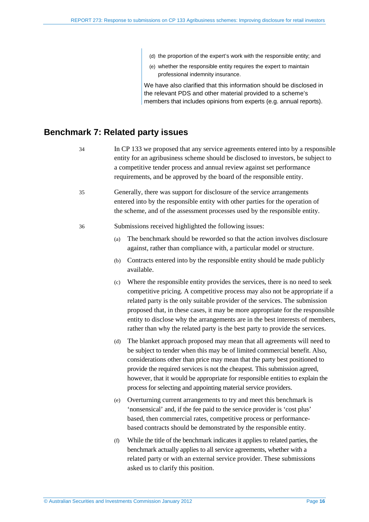- (d) the proportion of the expert's work with the responsible entity; and
- (e) whether the responsible entity requires the expert to maintain professional indemnity insurance.

We have also clarified that this information should be disclosed in the relevant PDS and other material provided to a scheme's members that includes opinions from experts (e.g. annual reports).

### <span id="page-15-0"></span>**Benchmark 7: Related party issues**

- 34 In CP 133 we proposed that any service agreements entered into by a responsible entity for an agribusiness scheme should be disclosed to investors, be subject to a competitive tender process and annual review against set performance requirements, and be approved by the board of the responsible entity.
- 35 Generally, there was support for disclosure of the service arrangements entered into by the responsible entity with other parties for the operation of the scheme, and of the assessment processes used by the responsible entity.

#### 36 Submissions received highlighted the following issues:

- (a) The benchmark should be reworded so that the action involves disclosure against, rather than compliance with, a particular model or structure.
- (b) Contracts entered into by the responsible entity should be made publicly available.
- (c) Where the responsible entity provides the services, there is no need to seek competitive pricing. A competitive process may also not be appropriate if a related party is the only suitable provider of the services. The submission proposed that, in these cases, it may be more appropriate for the responsible entity to disclose why the arrangements are in the best interests of members, rather than why the related party is the best party to provide the services.
- (d) The blanket approach proposed may mean that all agreements will need to be subject to tender when this may be of limited commercial benefit. Also, considerations other than price may mean that the party best positioned to provide the required services is not the cheapest. This submission agreed, however, that it would be appropriate for responsible entities to explain the process for selecting and appointing material service providers.
- (e) Overturning current arrangements to try and meet this benchmark is 'nonsensical' and, if the fee paid to the service provider is 'cost plus' based, then commercial rates, competitive process or performancebased contracts should be demonstrated by the responsible entity.
- (f) While the title of the benchmark indicates it applies to related parties, the benchmark actually applies to all service agreements, whether with a related party or with an external service provider. These submissions asked us to clarify this position.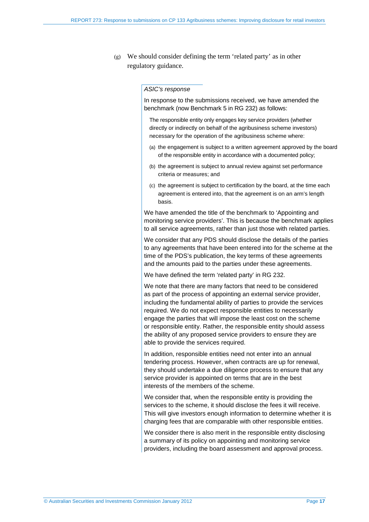(g) We should consider defining the term 'related party' as in other regulatory guidance.

#### *ASIC's response*

In response to the submissions received, we have amended the benchmark (now Benchmark 5 in RG 232) as follows:

The responsible entity only engages key service providers (whether directly or indirectly on behalf of the agribusiness scheme investors) necessary for the operation of the agribusiness scheme where:

- (a) the engagement is subject to a written agreement approved by the board of the responsible entity in accordance with a documented policy;
- (b) the agreement is subject to annual review against set performance criteria or measures; and
- (c) the agreement is subject to certification by the board, at the time each agreement is entered into, that the agreement is on an arm's length basis.

We have amended the title of the benchmark to 'Appointing and monitoring service providers'. This is because the benchmark applies to all service agreements, rather than just those with related parties.

We consider that any PDS should disclose the details of the parties to any agreements that have been entered into for the scheme at the time of the PDS's publication, the key terms of these agreements and the amounts paid to the parties under these agreements.

We have defined the term 'related party' in RG 232.

We note that there are many factors that need to be considered as part of the process of appointing an external service provider, including the fundamental ability of parties to provide the services required. We do not expect responsible entities to necessarily engage the parties that will impose the least cost on the scheme or responsible entity. Rather, the responsible entity should assess the ability of any proposed service providers to ensure they are able to provide the services required.

In addition, responsible entities need not enter into an annual tendering process. However, when contracts are up for renewal, they should undertake a due diligence process to ensure that any service provider is appointed on terms that are in the best interests of the members of the scheme.

We consider that, when the responsible entity is providing the services to the scheme, it should disclose the fees it will receive. This will give investors enough information to determine whether it is charging fees that are comparable with other responsible entities.

We consider there is also merit in the responsible entity disclosing a summary of its policy on appointing and monitoring service providers, including the board assessment and approval process.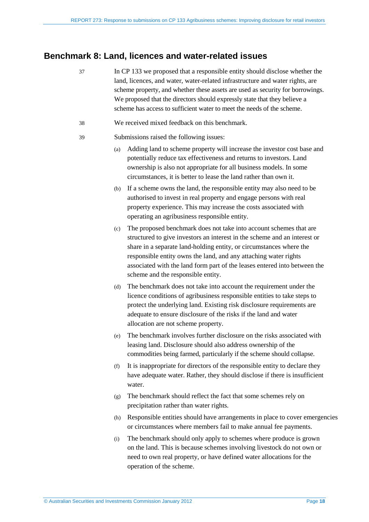### <span id="page-17-0"></span>**Benchmark 8: Land, licences and water-related issues**

- 37 In CP 133 we proposed that a responsible entity should disclose whether the land, licences, and water, water-related infrastructure and water rights, are scheme property, and whether these assets are used as security for borrowings. We proposed that the directors should expressly state that they believe a scheme has access to sufficient water to meet the needs of the scheme.
- 38 We received mixed feedback on this benchmark.
- 39 Submissions raised the following issues:
	- (a) Adding land to scheme property will increase the investor cost base and potentially reduce tax effectiveness and returns to investors. Land ownership is also not appropriate for all business models. In some circumstances, it is better to lease the land rather than own it.
	- (b) If a scheme owns the land, the responsible entity may also need to be authorised to invest in real property and engage persons with real property experience. This may increase the costs associated with operating an agribusiness responsible entity.
	- (c) The proposed benchmark does not take into account schemes that are structured to give investors an interest in the scheme and an interest or share in a separate land-holding entity, or circumstances where the responsible entity owns the land, and any attaching water rights associated with the land form part of the leases entered into between the scheme and the responsible entity.
	- (d) The benchmark does not take into account the requirement under the licence conditions of agribusiness responsible entities to take steps to protect the underlying land. Existing risk disclosure requirements are adequate to ensure disclosure of the risks if the land and water allocation are not scheme property.
	- (e) The benchmark involves further disclosure on the risks associated with leasing land. Disclosure should also address ownership of the commodities being farmed, particularly if the scheme should collapse.
	- (f) It is inappropriate for directors of the responsible entity to declare they have adequate water. Rather, they should disclose if there is insufficient water.
	- (g) The benchmark should reflect the fact that some schemes rely on precipitation rather than water rights.
	- (h) Responsible entities should have arrangements in place to cover emergencies or circumstances where members fail to make annual fee payments.
	- (i) The benchmark should only apply to schemes where produce is grown on the land. This is because schemes involving livestock do not own or need to own real property, or have defined water allocations for the operation of the scheme.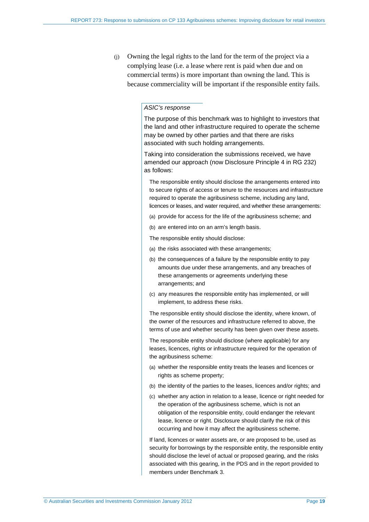(j) Owning the legal rights to the land for the term of the project via a complying lease (i.e. a lease where rent is paid when due and on commercial terms) is more important than owning the land. This is because commerciality will be important if the responsible entity fails.

### *ASIC's response*

The purpose of this benchmark was to highlight to investors that the land and other infrastructure required to operate the scheme may be owned by other parties and that there are risks associated with such holding arrangements.

Taking into consideration the submissions received, we have amended our approach (now Disclosure Principle 4 in RG 232) as follows:

The responsible entity should disclose the arrangements entered into to secure rights of access or tenure to the resources and infrastructure required to operate the agribusiness scheme, including any land, licences or leases, and water required, and whether these arrangements:

- (a) provide for access for the life of the agribusiness scheme; and
- (b) are entered into on an arm's length basis.
- The responsible entity should disclose:
- (a) the risks associated with these arrangements;
- (b) the consequences of a failure by the responsible entity to pay amounts due under these arrangements, and any breaches of these arrangements or agreements underlying these arrangements; and
- (c) any measures the responsible entity has implemented, or will implement, to address these risks.

The responsible entity should disclose the identity, where known, of the owner of the resources and infrastructure referred to above, the terms of use and whether security has been given over these assets.

The responsible entity should disclose (where applicable) for any leases, licences, rights or infrastructure required for the operation of the agribusiness scheme:

- (a) whether the responsible entity treats the leases and licences or rights as scheme property;
- (b) the identity of the parties to the leases, licences and/or rights; and
- (c) whether any action in relation to a lease, licence or right needed for the operation of the agribusiness scheme, which is not an obligation of the responsible entity, could endanger the relevant lease, licence or right. Disclosure should clarify the risk of this occurring and how it may affect the agribusiness scheme.

If land, licences or water assets are, or are proposed to be, used as security for borrowings by the responsible entity, the responsible entity should disclose the level of actual or proposed gearing, and the risks associated with this gearing, in the PDS and in the report provided to members under Benchmark 3.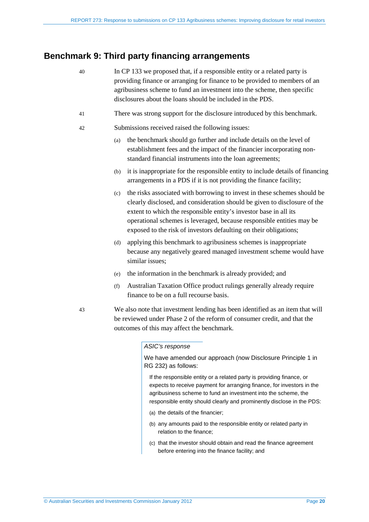### <span id="page-19-0"></span>**Benchmark 9: Third party financing arrangements**

- 40 In CP 133 we proposed that, if a responsible entity or a related party is providing finance or arranging for finance to be provided to members of an agribusiness scheme to fund an investment into the scheme, then specific disclosures about the loans should be included in the PDS.
- 41 There was strong support for the disclosure introduced by this benchmark.
- 42 Submissions received raised the following issues:
	- (a) the benchmark should go further and include details on the level of establishment fees and the impact of the financier incorporating nonstandard financial instruments into the loan agreements;
	- (b) it is inappropriate for the responsible entity to include details of financing arrangements in a PDS if it is not providing the finance facility;
	- (c) the risks associated with borrowing to invest in these schemes should be clearly disclosed, and consideration should be given to disclosure of the extent to which the responsible entity's investor base in all its operational schemes is leveraged, because responsible entities may be exposed to the risk of investors defaulting on their obligations;
	- (d) applying this benchmark to agribusiness schemes is inappropriate because any negatively geared managed investment scheme would have similar issues;
	- (e) the information in the benchmark is already provided; and
	- (f) Australian Taxation Office product rulings generally already require finance to be on a full recourse basis.
- 43 We also note that investment lending has been identified as an item that will be reviewed under Phase 2 of the reform of consumer credit, and that the outcomes of this may affect the benchmark.

#### *ASIC's response*

We have amended our approach (now Disclosure Principle 1 in RG 232) as follows:

If the responsible entity or a related party is providing finance, or expects to receive payment for arranging finance, for investors in the agribusiness scheme to fund an investment into the scheme, the responsible entity should clearly and prominently disclose in the PDS:

- (a) the details of the financier;
- (b) any amounts paid to the responsible entity or related party in relation to the finance;
- (c) that the investor should obtain and read the finance agreement before entering into the finance facility; and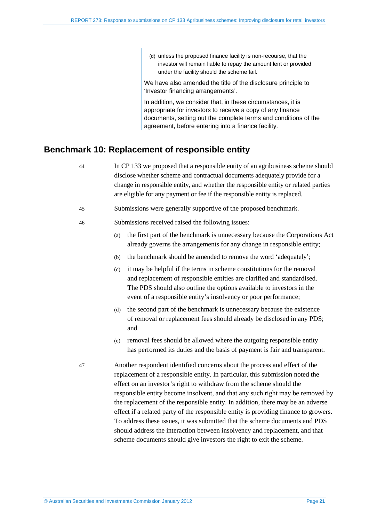(d) unless the proposed finance facility is non-recourse, that the investor will remain liable to repay the amount lent or provided under the facility should the scheme fail.

We have also amended the title of the disclosure principle to 'Investor financing arrangements'.

In addition, we consider that, in these circumstances, it is appropriate for investors to receive a copy of any finance documents, setting out the complete terms and conditions of the agreement, before entering into a finance facility.

### <span id="page-20-0"></span>**Benchmark 10: Replacement of responsible entity**

- 44 In CP 133 we proposed that a responsible entity of an agribusiness scheme should disclose whether scheme and contractual documents adequately provide for a change in responsible entity, and whether the responsible entity or related parties are eligible for any payment or fee if the responsible entity is replaced.
- 45 Submissions were generally supportive of the proposed benchmark.
- 46 Submissions received raised the following issues:
	- (a) the first part of the benchmark is unnecessary because the Corporations Act already governs the arrangements for any change in responsible entity;
	- (b) the benchmark should be amended to remove the word 'adequately';
	- (c) it may be helpful if the terms in scheme constitutions for the removal and replacement of responsible entities are clarified and standardised. The PDS should also outline the options available to investors in the event of a responsible entity's insolvency or poor performance;
	- (d) the second part of the benchmark is unnecessary because the existence of removal or replacement fees should already be disclosed in any PDS; and
	- (e) removal fees should be allowed where the outgoing responsible entity has performed its duties and the basis of payment is fair and transparent.
- 47 Another respondent identified concerns about the process and effect of the replacement of a responsible entity. In particular, this submission noted the effect on an investor's right to withdraw from the scheme should the responsible entity become insolvent, and that any such right may be removed by the replacement of the responsible entity. In addition, there may be an adverse effect if a related party of the responsible entity is providing finance to growers. To address these issues, it was submitted that the scheme documents and PDS should address the interaction between insolvency and replacement, and that scheme documents should give investors the right to exit the scheme.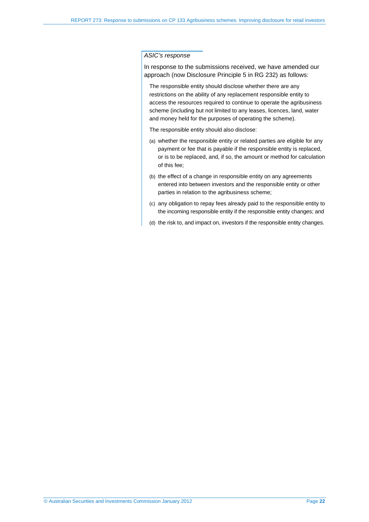In response to the submissions received, we have amended our approach (now Disclosure Principle 5 in RG 232) as follows:

The responsible entity should disclose whether there are any restrictions on the ability of any replacement responsible entity to access the resources required to continue to operate the agribusiness scheme (including but not limited to any leases, licences, land, water and money held for the purposes of operating the scheme).

The responsible entity should also disclose:

- (a) whether the responsible entity or related parties are eligible for any payment or fee that is payable if the responsible entity is replaced, or is to be replaced, and, if so, the amount or method for calculation of this fee;
- (b) the effect of a change in responsible entity on any agreements entered into between investors and the responsible entity or other parties in relation to the agribusiness scheme;
- (c) any obligation to repay fees already paid to the responsible entity to the incoming responsible entity if the responsible entity changes; and
- (d) the risk to, and impact on, investors if the responsible entity changes.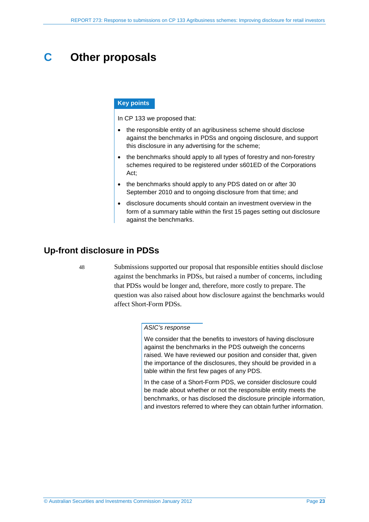## <span id="page-22-0"></span>**C Other proposals**

### **Key points**

In CP 133 we proposed that:

- the responsible entity of an agribusiness scheme should disclose against the benchmarks in PDSs and ongoing disclosure, and support this disclosure in any advertising for the scheme;
- the benchmarks should apply to all types of forestry and non-forestry schemes required to be registered under s601ED of the Corporations Act;
- the benchmarks should apply to any PDS dated on or after 30 September 2010 and to ongoing disclosure from that time; and
- disclosure documents should contain an investment overview in the form of a summary table within the first 15 pages setting out disclosure against the benchmarks.

### <span id="page-22-1"></span>**Up-front disclosure in PDSs**

48 Submissions supported our proposal that responsible entities should disclose against the benchmarks in PDSs, but raised a number of concerns, including that PDSs would be longer and, therefore, more costly to prepare. The question was also raised about how disclosure against the benchmarks would affect Short-Form PDSs.

#### *ASIC's response*

We consider that the benefits to investors of having disclosure against the benchmarks in the PDS outweigh the concerns raised. We have reviewed our position and consider that, given the importance of the disclosures, they should be provided in a table within the first few pages of any PDS.

In the case of a Short-Form PDS, we consider disclosure could be made about whether or not the responsible entity meets the benchmarks, or has disclosed the disclosure principle information, and investors referred to where they can obtain further information.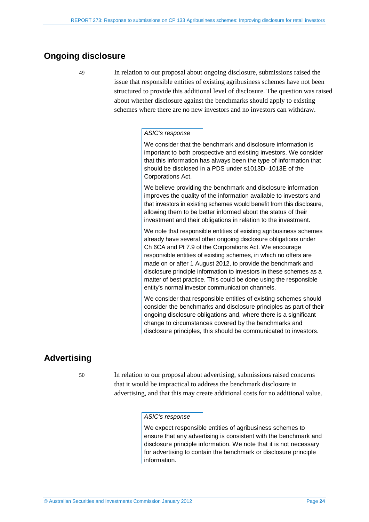### <span id="page-23-0"></span>**Ongoing disclosure**

49 In relation to our proposal about ongoing disclosure, submissions raised the issue that responsible entities of existing agribusiness schemes have not been structured to provide this additional level of disclosure. The question was raised about whether disclosure against the benchmarks should apply to existing schemes where there are no new investors and no investors can withdraw.

### *ASIC's response*

We consider that the benchmark and disclosure information is important to both prospective and existing investors. We consider that this information has always been the type of information that should be disclosed in a PDS under s1013D–1013E of the Corporations Act.

We believe providing the benchmark and disclosure information improves the quality of the information available to investors and that investors in existing schemes would benefit from this disclosure, allowing them to be better informed about the status of their investment and their obligations in relation to the investment.

We note that responsible entities of existing agribusiness schemes already have several other ongoing disclosure obligations under Ch 6CA and Pt 7.9 of the Corporations Act. We encourage responsible entities of existing schemes, in which no offers are made on or after 1 August 2012, to provide the benchmark and disclosure principle information to investors in these schemes as a matter of best practice. This could be done using the responsible entity's normal investor communication channels.

We consider that responsible entities of existing schemes should consider the benchmarks and disclosure principles as part of their ongoing disclosure obligations and, where there is a significant change to circumstances covered by the benchmarks and disclosure principles, this should be communicated to investors.

### <span id="page-23-1"></span>**Advertising**

50 In relation to our proposal about advertising, submissions raised concerns that it would be impractical to address the benchmark disclosure in advertising, and that this may create additional costs for no additional value.

#### *ASIC's response*

We expect responsible entities of agribusiness schemes to ensure that any advertising is consistent with the benchmark and disclosure principle information. We note that it is not necessary for advertising to contain the benchmark or disclosure principle information.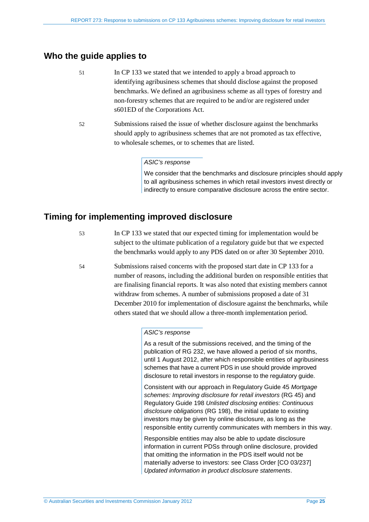### <span id="page-24-0"></span>**Who the guide applies to**

- 51 In CP 133 we stated that we intended to apply a broad approach to identifying agribusiness schemes that should disclose against the proposed benchmarks. We defined an agribusiness scheme as all types of forestry and non-forestry schemes that are required to be and/or are registered under s601ED of the Corporations Act.
- 52 Submissions raised the issue of whether disclosure against the benchmarks should apply to agribusiness schemes that are not promoted as tax effective, to wholesale schemes, or to schemes that are listed.

#### *ASIC's response*

We consider that the benchmarks and disclosure principles should apply to all agribusiness schemes in which retail investors invest directly or indirectly to ensure comparative disclosure across the entire sector.

### <span id="page-24-1"></span>**Timing for implementing improved disclosure**

53 In CP 133 we stated that our expected timing for implementation would be subject to the ultimate publication of a regulatory guide but that we expected the benchmarks would apply to any PDS dated on or after 30 September 2010.

54 Submissions raised concerns with the proposed start date in CP 133 for a number of reasons, including the additional burden on responsible entities that are finalising financial reports. It was also noted that existing members cannot withdraw from schemes. A number of submissions proposed a date of 31 December 2010 for implementation of disclosure against the benchmarks, while others stated that we should allow a three-month implementation period.

#### *ASIC's response*

As a result of the submissions received, and the timing of the publication of RG 232, we have allowed a period of six months, until 1 August 2012, after which responsible entities of agribusiness schemes that have a current PDS in use should provide improved disclosure to retail investors in response to the regulatory guide.

Consistent with our approach in Regulatory Guide 45 *Mortgage schemes: Improving disclosure for retail investors* (RG 45) and Regulatory Guide 198 *Unlisted disclosing entities: Continuous disclosure obligations* (RG 198), the initial update to existing investors may be given by online disclosure, as long as the responsible entity currently communicates with members in this way.

Responsible entities may also be able to update disclosure information in current PDSs through online disclosure, provided that omitting the information in the PDS itself would not be materially adverse to investors: see Class Order [CO 03/237] *Updated information in product disclosure statements*.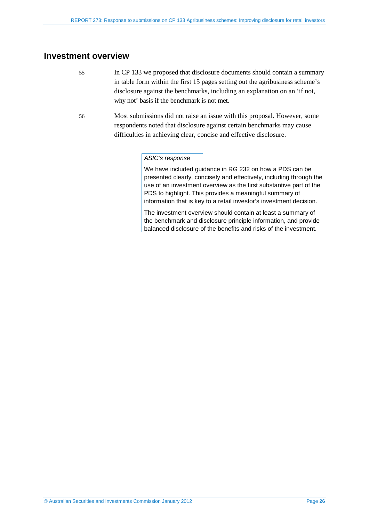### <span id="page-25-0"></span>**Investment overview**

- 55 In CP 133 we proposed that disclosure documents should contain a summary in table form within the first 15 pages setting out the agribusiness scheme's disclosure against the benchmarks, including an explanation on an 'if not, why not' basis if the benchmark is not met.
- 56 Most submissions did not raise an issue with this proposal. However, some respondents noted that disclosure against certain benchmarks may cause difficulties in achieving clear, concise and effective disclosure.

### *ASIC's response*

We have included guidance in RG 232 on how a PDS can be presented clearly, concisely and effectively, including through the use of an investment overview as the first substantive part of the PDS to highlight. This provides a meaningful summary of information that is key to a retail investor's investment decision.

The investment overview should contain at least a summary of the benchmark and disclosure principle information, and provide balanced disclosure of the benefits and risks of the investment.